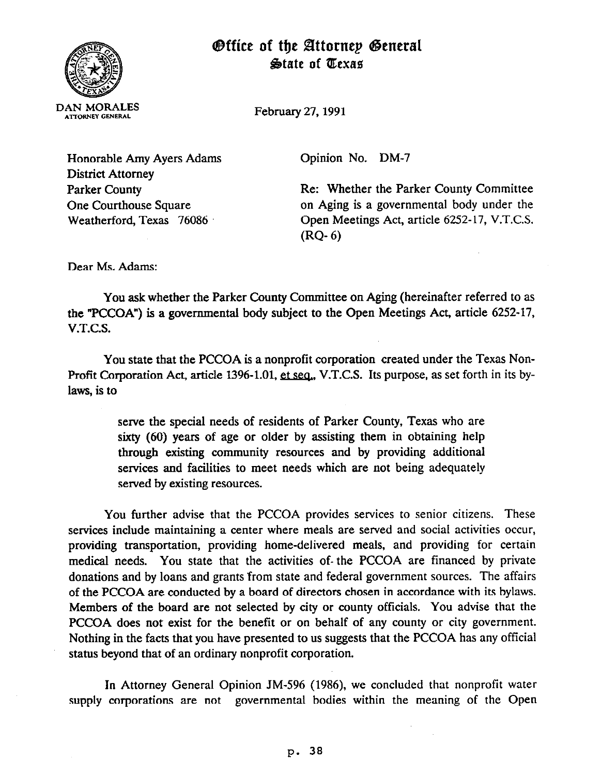

## **Office of the Attornep General State of Texas**

February 27,199l

Honorable Amy Ayers Adams District Attorney Parker County One Courthouse Square Weatherford, Texas 76086

Opinion No. DM-7

Re: Whether the Parker County Committee on Aging is a governmental body under the Open Meetings Act, article 6252-17, V.T.C.S. (RQ- 6)

Dear Ms. Adams:

You ask whether the Parker County Committee on Aging (hereinafter referred to as the "PCCOA") is a governmental body subject to the Open Meetings Act, article 6252-17, V.T.C.S.

You state that the PCCOA is a nonprofit corporation created under the Texas Non-Profit Corporation Act, article 1396-1.01, et seq., V.T.C.S. Its purpose, as set forth in its bylaws, is to

> serve the special needs of residents of Parker County, Texas who are sixty (60) years of age or older by assisting them in obtaining help through existing community resources and by providing additional services and facilities to meet needs which are not being adequately served by existing resources.

You further advise that the PCCOA provides services to senior citizens. These services include maintaining a center where meals are served and social activities occur, providing transportation, providing home-delivered meals, and providing for certain medical needs. You state that the activities of- the PCCOA are financed by private donations and by loans and grants from state and federal government sources. The affairs of the PCCOA are conducted by a board of directors chosen in accordance with its bylaws. Members of the board are not selected by city or county officials. You advise that the PCCOA does not exist for the benefit or on behalf of any county or city government. Nothing in the facts that you have presented to us suggests that the PCCOA has any official status beyond that of an ordinary nonprofit corporation.

In Attorney General Opinion JM-596 (1986), we concluded **that** nonprofit water supply corporations are not governmental bodies within the meaning of the Open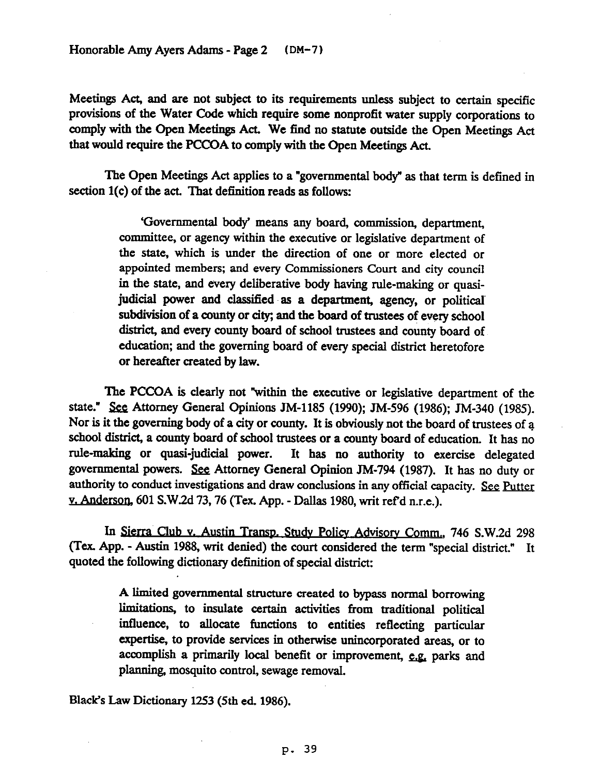Meetings Act, and are not subject to its requirements unless subject to certain specific provisions of the Water Code which require some nonprofit water supply corporations to comply with the Gpen Meetings Act. We find no statute outside the Gpen Meetings Act that would require the PCCGA to comply with the Gpen Meetings Act.

The Open Meetings Act applies to a "governmental body" as that term is defined in section 1(c) of the act. That definition reads as follows:

> 'Governmental body' means any board, commission, department, committee, or agency within the executive or legislative department of the state, which is under the direction of one or more elected or appointed members; and every Commissioners Court and city council in the state, and every deliberative body having rule-making or quasijudicial power and classified as a department, agency, or political subdivision of a county or city; and the board of trustees of every school district, and every county board of school trustees and county board of education; and the governing board of every special district heretofore or hereafter created by law.

The PCCGA is clearly not "within the executive or legislative department of the state." See Attorney General Opinions JM-1185 (1990); JM-596 (1986); JM-340 (1985). Nor is it the governing body of a city or county. It is obviously not the board of trustees of a school district, a county board of school trustees or a county board of education. It has no rule-making or quasi-judicial power. It has no authority to exercise delegated governmental powers. See Attorney General Opinion JM-794 (1987). It has no duty or authority to conduct investigations and draw conclusions in any official capacity. See Putter v. Anderson, 601 S.W.2d 73, 76 (Tex. App. - Dallas 1980, writ ref'd n.r.e.).

In Sierra Club v. Austin Transp. Study Policy Advisory Comm., 746 S.W.2d 298 (Tex. App. - Austin 1988, writ denied) the court considered the term "special district." It quoted the following dictionary definition of special district:

> A limited governmental structure created to bypass normal borrowing limitations, to insulate certain activities from traditional political influence, to allocate functions to entities reflecting particular expertise, to provide services in otherwise unincorporated areas, or to accomplish a primarily local benefit or improvement, e.g. parks and planning, mosquito control, sewage removal.

Black's Law Dictionary 1253 (5th ed. 1986).

**p. 39**